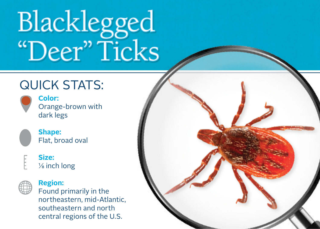# Blacklegged "Deer" Ticks

### QUICK STATS:



**Color:**  Orange-brown with dark legs



**Shape:** Flat, broad oval

#### **Size:**  $\frac{1}{8}$  inch long



#### **Region:**

Found primarily in the northeastern, mid-Atlantic, southeastern and north central regions of the U.S.